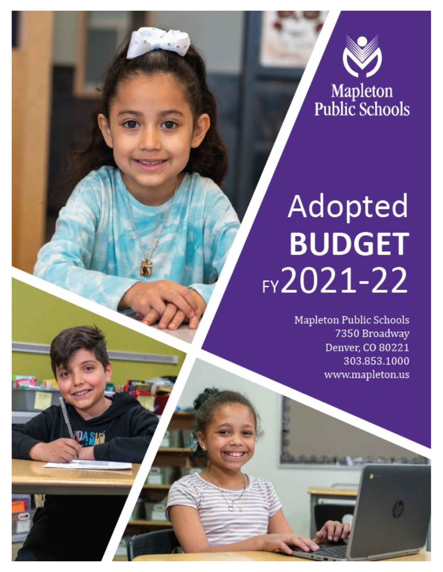

# Adopted **BUDGET**  $FY2021-22$

Mapleton Public Schools 7350 Broadway Denver, CO 80221 303.853.1000 www.mapleton.us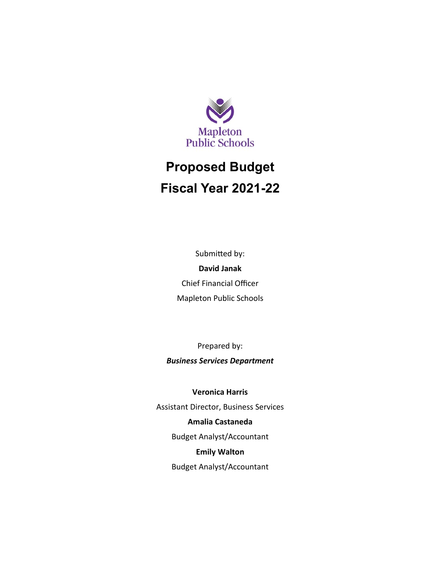

# **Proposed Budget Fiscal Year 2021-22**

Submitted by: **David Janak**

Chief Financial Officer Mapleton Public Schools

Prepared by: *Business Services Department*

**Veronica Harris**

Assistant Director, Business Services

**Amalia Castaneda**

Budget Analyst/Accountant

**Emily Walton**

Budget Analyst/Accountant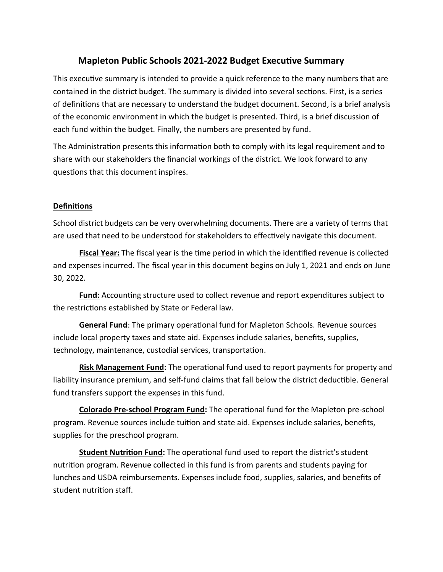### **Mapleton Public Schools 2021-2022 Budget Executive Summary**

This executive summary is intended to provide a quick reference to the many numbers that are contained in the district budget. The summary is divided into several sections. First, is a series of definitions that are necessary to understand the budget document. Second, is a brief analysis of the economic environment in which the budget is presented. Third, is a brief discussion of each fund within the budget. Finally, the numbers are presented by fund.

The Administration presents this information both to comply with its legal requirement and to share with our stakeholders the financial workings of the district. We look forward to any questions that this document inspires.

#### **Definitions**

School district budgets can be very overwhelming documents. There are a variety of terms that are used that need to be understood for stakeholders to effectively navigate this document.

**Fiscal Year:** The fiscal year is the time period in which the identified revenue is collected and expenses incurred. The fiscal year in this document begins on July 1, 2021 and ends on June 30, 2022.

**Fund:** Accounting structure used to collect revenue and report expenditures subject to the restrictions established by State or Federal law.

**General Fund**: The primary operational fund for Mapleton Schools. Revenue sources include local property taxes and state aid. Expenses include salaries, benefits, supplies, technology, maintenance, custodial services, transportation.

**Risk Management Fund:** The operational fund used to report payments for property and liability insurance premium, and self-fund claims that fall below the district deductible. General fund transfers support the expenses in this fund.

**Colorado Pre-school Program Fund:** The operational fund for the Mapleton pre-school program. Revenue sources include tuition and state aid. Expenses include salaries, benefits, supplies for the preschool program.

**Student Nutrition Fund:** The operational fund used to report the district's student nutrition program. Revenue collected in this fund is from parents and students paying for lunches and USDA reimbursements. Expenses include food, supplies, salaries, and benefits of student nutrition staff.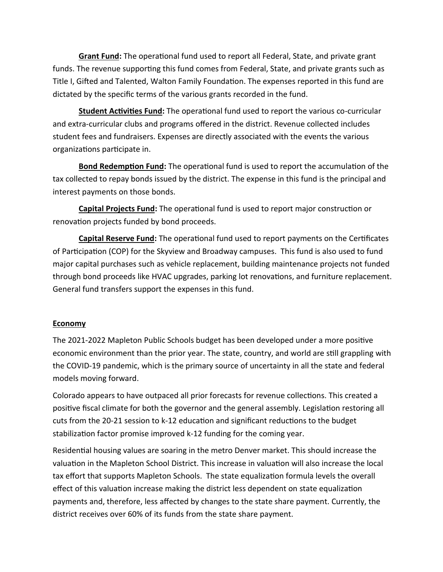**Grant Fund:** The operational fund used to report all Federal, State, and private grant funds. The revenue supporting this fund comes from Federal, State, and private grants such as Title I, Gifted and Talented, Walton Family Foundation. The expenses reported in this fund are dictated by the specific terms of the various grants recorded in the fund.

**Student Activities Fund:** The operational fund used to report the various co-curricular and extra-curricular clubs and programs offered in the district. Revenue collected includes student fees and fundraisers. Expenses are directly associated with the events the various organizations participate in.

**Bond Redemption Fund:** The operational fund is used to report the accumulation of the tax collected to repay bonds issued by the district. The expense in this fund is the principal and interest payments on those bonds.

**Capital Projects Fund:** The operational fund is used to report major construction or renovation projects funded by bond proceeds.

**Capital Reserve Fund:** The operational fund used to report payments on the Certificates of Participation (COP) for the Skyview and Broadway campuses. This fund is also used to fund major capital purchases such as vehicle replacement, building maintenance projects not funded through bond proceeds like HVAC upgrades, parking lot renovations, and furniture replacement. General fund transfers support the expenses in this fund.

#### **Economy**

The 2021-2022 Mapleton Public Schools budget has been developed under a more positive economic environment than the prior year. The state, country, and world are still grappling with the COVID-19 pandemic, which is the primary source of uncertainty in all the state and federal models moving forward.

Colorado appears to have outpaced all prior forecasts for revenue collections. This created a positive fiscal climate for both the governor and the general assembly. Legislation restoring all cuts from the 20-21 session to k-12 education and significant reductions to the budget stabilization factor promise improved k-12 funding for the coming year.

Residential housing values are soaring in the metro Denver market. This should increase the valuation in the Mapleton School District. This increase in valuation will also increase the local tax effort that supports Mapleton Schools. The state equalization formula levels the overall effect of this valuation increase making the district less dependent on state equalization payments and, therefore, less affected by changes to the state share payment. Currently, the district receives over 60% of its funds from the state share payment.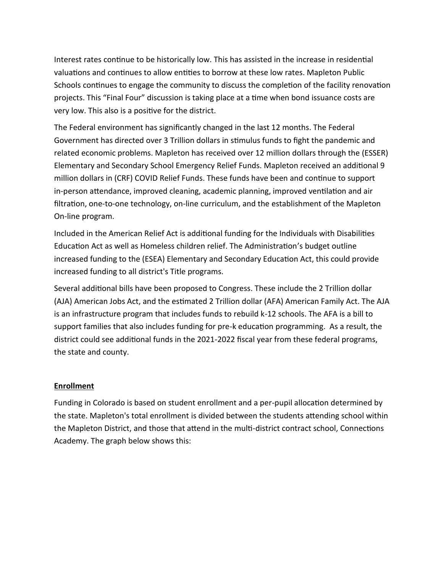Interest rates continue to be historically low. This has assisted in the increase in residential valuations and continues to allow entities to borrow at these low rates. Mapleton Public Schools continues to engage the community to discuss the completion of the facility renovation projects. This "Final Four" discussion is taking place at a time when bond issuance costs are very low. This also is a positive for the district.

The Federal environment has significantly changed in the last 12 months. The Federal Government has directed over 3 Trillion dollars in stimulus funds to fight the pandemic and related economic problems. Mapleton has received over 12 million dollars through the (ESSER) Elementary and Secondary School Emergency Relief Funds. Mapleton received an additional 9 million dollars in (CRF) COVID Relief Funds. These funds have been and continue to support in-person attendance, improved cleaning, academic planning, improved ventilation and air filtration, one-to-one technology, on-line curriculum, and the establishment of the Mapleton On-line program.

Included in the American Relief Act is additional funding for the Individuals with Disabilities Education Act as well as Homeless children relief. The Administration's budget outline increased funding to the (ESEA) Elementary and Secondary Education Act, this could provide increased funding to all district's Title programs.

Several additional bills have been proposed to Congress. These include the 2 Trillion dollar (AJA) American Jobs Act, and the estimated 2 Trillion dollar (AFA) American Family Act. The AJA is an infrastructure program that includes funds to rebuild k-12 schools. The AFA is a bill to support families that also includes funding for pre-k education programming. As a result, the district could see additional funds in the 2021-2022 fiscal year from these federal programs, the state and county.

#### **Enrollment**

Funding in Colorado is based on student enrollment and a per-pupil allocation determined by the state. Mapleton's total enrollment is divided between the students attending school within the Mapleton District, and those that attend in the multi-district contract school, Connections Academy. The graph below shows this: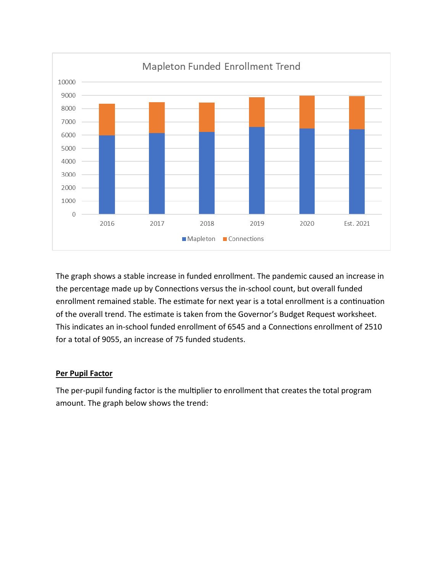

The graph shows a stable increase in funded enrollment. The pandemic caused an increase in the percentage made up by Connections versus the in-school count, but overall funded enrollment remained stable. The estimate for next year is a total enrollment is a continuation of the overall trend. The estimate is taken from the Governor's Budget Request worksheet. This indicates an in-school funded enrollment of 6545 and a Connections enrollment of 2510 for a total of 9055, an increase of 75 funded students.

#### **Per Pupil Factor**

The per-pupil funding factor is the multiplier to enrollment that creates the total program amount. The graph below shows the trend: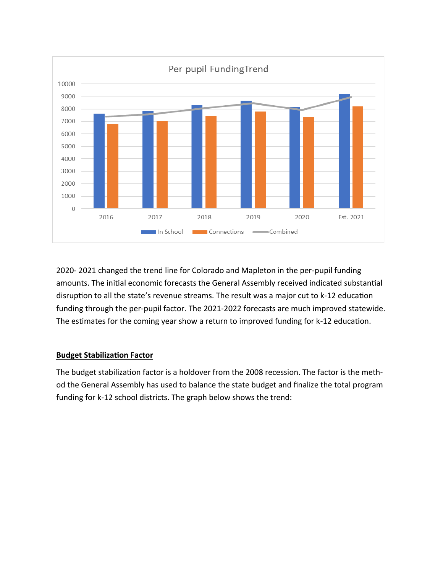

2020- 2021 changed the trend line for Colorado and Mapleton in the per-pupil funding amounts. The initial economic forecasts the General Assembly received indicated substantial disruption to all the state's revenue streams. The result was a major cut to k-12 education funding through the per-pupil factor. The 2021-2022 forecasts are much improved statewide. The estimates for the coming year show a return to improved funding for k-12 education.

#### **Budget Stabilization Factor**

The budget stabilization factor is a holdover from the 2008 recession. The factor is the method the General Assembly has used to balance the state budget and finalize the total program funding for k-12 school districts. The graph below shows the trend: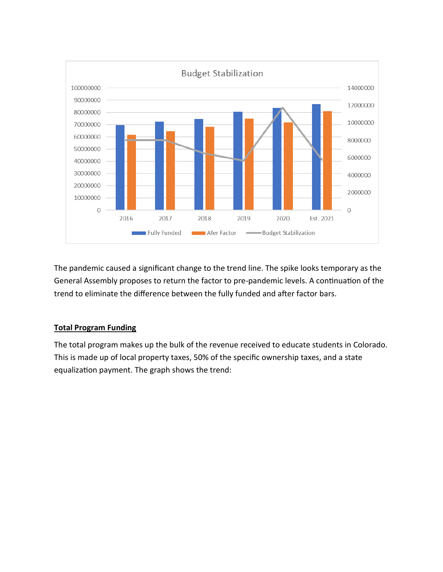

The pandemic caused a significant change to the trend line. The spike looks temporary as the General Assembly proposes to return the factor to pre-pandemic levels. A continuation of the trend to eliminate the difference between the fully funded and after factor bars.

#### **Total Program Funding**

The total program makes up the bulk of the revenue received to educate students in Colorado. This is made up of local property taxes, 50% of the specific ownership taxes, and a state equalization payment. The graph shows the trend: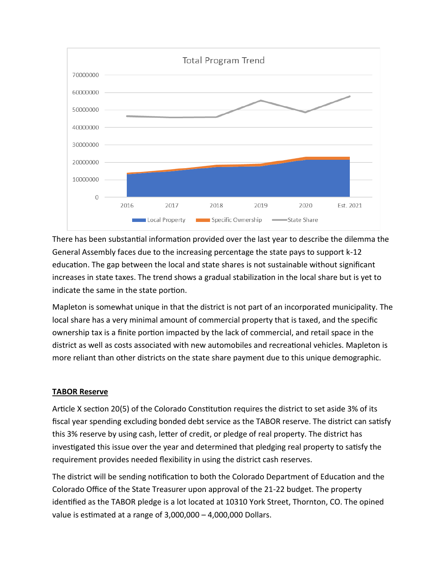

There has been substantial information provided over the last year to describe the dilemma the General Assembly faces due to the increasing percentage the state pays to support k-12 education. The gap between the local and state shares is not sustainable without significant increases in state taxes. The trend shows a gradual stabilization in the local share but is yet to indicate the same in the state portion.

Mapleton is somewhat unique in that the district is not part of an incorporated municipality. The local share has a very minimal amount of commercial property that is taxed, and the specific ownership tax is a finite portion impacted by the lack of commercial, and retail space in the district as well as costs associated with new automobiles and recreational vehicles. Mapleton is more reliant than other districts on the state share payment due to this unique demographic.

#### **TABOR Reserve**

Article X section 20(5) of the Colorado Constitution requires the district to set aside 3% of its fiscal year spending excluding bonded debt service as the TABOR reserve. The district can satisfy this 3% reserve by using cash, letter of credit, or pledge of real property. The district has investigated this issue over the year and determined that pledging real property to satisfy the requirement provides needed flexibility in using the district cash reserves.

The district will be sending notification to both the Colorado Department of Education and the Colorado Office of the State Treasurer upon approval of the 21-22 budget. The property identified as the TABOR pledge is a lot located at 10310 York Street, Thornton, CO. The opined value is estimated at a range of 3,000,000 – 4,000,000 Dollars.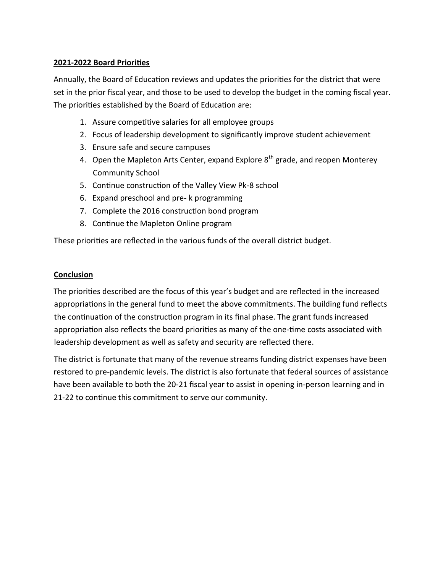#### **2021-2022 Board Priorities**

Annually, the Board of Education reviews and updates the priorities for the district that were set in the prior fiscal year, and those to be used to develop the budget in the coming fiscal year. The priorities established by the Board of Education are:

- 1. Assure competitive salaries for all employee groups
- 2. Focus of leadership development to significantly improve student achievement
- 3. Ensure safe and secure campuses
- 4. Open the Mapleton Arts Center, expand Explore  $8<sup>th</sup>$  grade, and reopen Monterey Community School
- 5. Continue construction of the Valley View Pk-8 school
- 6. Expand preschool and pre- k programming
- 7. Complete the 2016 construction bond program
- 8. Continue the Mapleton Online program

These priorities are reflected in the various funds of the overall district budget.

#### **Conclusion**

The priorities described are the focus of this year's budget and are reflected in the increased appropriations in the general fund to meet the above commitments. The building fund reflects the continuation of the construction program in its final phase. The grant funds increased appropriation also reflects the board priorities as many of the one-time costs associated with leadership development as well as safety and security are reflected there.

The district is fortunate that many of the revenue streams funding district expenses have been restored to pre-pandemic levels. The district is also fortunate that federal sources of assistance have been available to both the 20-21 fiscal year to assist in opening in-person learning and in 21-22 to continue this commitment to serve our community.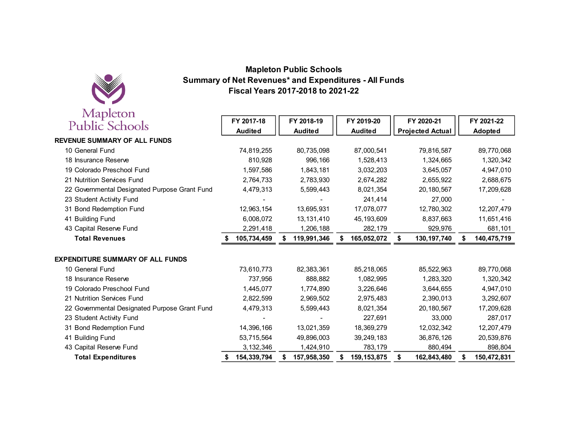

#### **Summary of Net Revenues\* and Expenditures - All FundsFiscal Years 2017-2018 to 2021-22Mapleton Public Schools**

| iviapicion<br>Public Schools                  | FY 2017-18<br><b>Audited</b> | FY 2018-19<br><b>Audited</b> | FY 2019-20<br><b>Audited</b> | FY 2020-21<br><b>Projected Actual</b> | FY 2021-22<br>Adopted |
|-----------------------------------------------|------------------------------|------------------------------|------------------------------|---------------------------------------|-----------------------|
| <b>REVENUE SUMMARY OF ALL FUNDS</b>           |                              |                              |                              |                                       |                       |
| 10 General Fund                               | 74,819,255                   | 80,735,098                   | 87,000,541                   | 79,816,587                            | 89,770,068            |
| 18 Insurance Reserve                          | 810,928                      | 996,166                      | 1,528,413                    | 1,324,665                             | 1,320,342             |
| 19 Colorado Preschool Fund                    | 1,597,586                    | 1,843,181                    | 3,032,203                    | 3,645,057                             | 4,947,010             |
| 21 Nutrition Services Fund                    | 2,764,733                    | 2,783,930                    | 2,674,282                    | 2,655,922                             | 2,688,675             |
| 22 Governmental Designated Purpose Grant Fund | 4,479,313                    | 5,599,443                    | 8,021,354                    | 20, 180, 567                          | 17,209,628            |
| 23 Student Activity Fund                      |                              |                              | 241,414                      | 27,000                                |                       |
| 31 Bond Redemption Fund                       | 12,963,154                   | 13,695,931                   | 17,078,077                   | 12,780,302                            | 12,207,479            |
| 41 Building Fund                              | 6,008,072                    | 13,131,410                   | 45, 193, 609                 | 8,837,663                             | 11,651,416            |
| 43 Capital Reserve Fund                       | 2,291,418                    | 1,206,188                    | 282,179                      | 929,976                               | 681,101               |
| <b>Total Revenues</b>                         | 105,734,459                  | 119,991,346<br>S             | 165,052,072                  | 130, 197, 740<br>S                    | 140,475,719<br>S      |
| <b>EXPENDITURE SUMMARY OF ALL FUNDS</b>       |                              |                              |                              |                                       |                       |
| 10 General Fund                               | 73,610,773                   | 82,383,361                   | 85,218,065                   | 85,522,963                            | 89,770,068            |
| 18 Insurance Reserve                          | 737,956                      | 888,882                      | 1,082,995                    | 1,283,320                             | 1,320,342             |
| 19 Colorado Preschool Fund                    | 1,445,077                    | 1,774,890                    | 3,226,646                    | 3,644,655                             | 4,947,010             |
| 21 Nutrition Services Fund                    | 2,822,599                    | 2,969,502                    | 2,975,483                    | 2,390,013                             | 3,292,607             |
| 22 Governmental Designated Purpose Grant Fund | 4,479,313                    | 5,599,443                    | 8,021,354                    | 20, 180, 567                          | 17,209,628            |
| 23 Student Activity Fund                      |                              |                              | 227,691                      | 33,000                                | 287,017               |
| 31 Bond Redemption Fund                       | 14,396,166                   | 13,021,359                   | 18.369.279                   | 12,032,342                            | 12,207,479            |
| 41 Building Fund                              | 53,715,564                   | 49,896,003                   | 39, 249, 183                 | 36,876,126                            | 20,539,876            |
| 43 Capital Reserve Fund                       | 3,132,346                    | 1,424,910                    | 783,179                      | 880,494                               | 898,804               |
| <b>Total Expenditures</b>                     | 154,339,794                  | 157,958,350<br>S             | 159, 153, 875                | 162,843,480<br>\$                     | 150,472,831<br>\$     |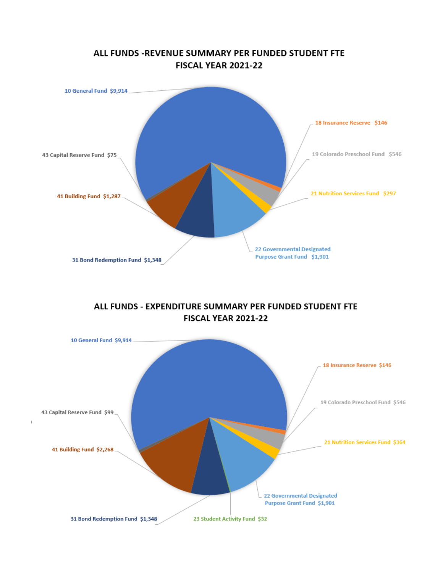

#### ALL FUNDS - EXPENDITURE SUMMARY PER FUNDED STUDENT FTE **FISCAL YEAR 2021-22**

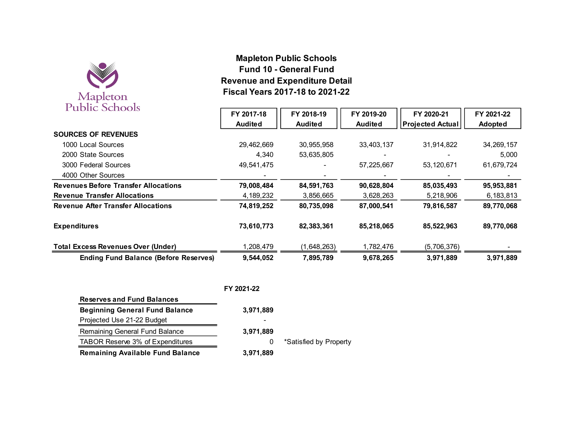

# **Mapleton Public Schools Fund 10 - General Fund Revenue and Expenditure DetailFiscal Years 2017-18 to 2021-22**

| PUDIIC SCHOOIS                               | FY 2017-18     | FY 2018-19     | FY 2019-20     | FY 2020-21              | FY 2021-22   |
|----------------------------------------------|----------------|----------------|----------------|-------------------------|--------------|
|                                              | <b>Audited</b> | <b>Audited</b> | <b>Audited</b> | <b>Projected Actual</b> | Adopted      |
| <b>SOURCES OF REVENUES</b>                   |                |                |                |                         |              |
| 1000 Local Sources                           | 29,462,669     | 30,955,958     | 33,403,137     | 31,914,822              | 34, 269, 157 |
| 2000 State Sources                           | 4,340          | 53,635,805     |                |                         | 5,000        |
| 3000 Federal Sources                         | 49,541,475     |                | 57,225,667     | 53,120,671              | 61,679,724   |
| 4000 Other Sources                           |                |                |                |                         |              |
| <b>Revenues Before Transfer Allocations</b>  | 79,008,484     | 84,591,763     | 90,628,804     | 85,035,493              | 95,953,881   |
| <b>Revenue Transfer Allocations</b>          | 4,189,232      | 3,856,665      | 3,628,263      | 5,218,906               | 6,183,813    |
| <b>Revenue After Transfer Allocations</b>    | 74,819,252     | 80,735,098     | 87,000,541     | 79,816,587              | 89,770,068   |
| <b>Expenditures</b>                          | 73,610,773     | 82,383,361     | 85,218,065     | 85,522,963              | 89,770,068   |
| <b>Total Excess Revenues Over (Under)</b>    | 1,208,479      | (1,648,263)    | 1,782,476      | (5,706,376)             |              |
| <b>Ending Fund Balance (Before Reserves)</b> | 9,544,052      | 7,895,789      | 9,678,265      | 3,971,889               | 3,971,889    |

|                                         | FY 2021-22 |                        |
|-----------------------------------------|------------|------------------------|
| <b>Reserves and Fund Balances</b>       |            |                        |
| <b>Beginning General Fund Balance</b>   | 3,971,889  |                        |
| Projected Use 21-22 Budget              |            |                        |
| Remaining General Fund Balance          | 3,971,889  |                        |
| TABOR Reserve 3% of Expenditures        | 0          | *Satisfied by Property |
| <b>Remaining Available Fund Balance</b> | 3,971,889  |                        |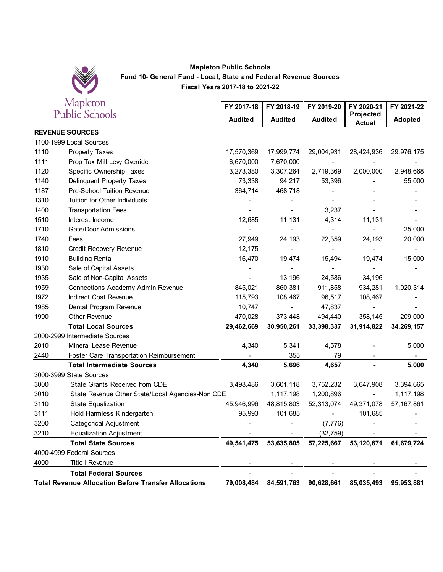

#### **Mapleton Public Schools Fund 10- General Fund - Local, State and Federal Revenue Sources Fiscal Years 2017-18 to 2021-22**

|      | Mapleton                                                    | FY 2017-18     | FY 2018-19               | FY 2019-20               | FY 2020-21                   | FY 2021-22   |
|------|-------------------------------------------------------------|----------------|--------------------------|--------------------------|------------------------------|--------------|
|      | Public Schools                                              | <b>Audited</b> | <b>Audited</b>           | <b>Audited</b>           | Projected<br>Actual          | Adopted      |
|      | <b>REVENUE SOURCES</b>                                      |                |                          |                          |                              |              |
|      | 1100-1999 Local Sources                                     |                |                          |                          |                              |              |
| 1110 | <b>Property Taxes</b>                                       | 17,570,369     | 17,999,774               | 29,004,931               | 28,424,936                   | 29,976,175   |
| 1111 | Prop Tax Mill Levy Override                                 | 6,670,000      | 7,670,000                |                          |                              |              |
| 1120 | Specific Ownership Taxes                                    | 3,273,380      | 3,307,264                | 2,719,369                | 2,000,000                    | 2,948,668    |
| 1140 | Delinquent Property Taxes                                   | 73,338         | 94,217                   | 53,396                   |                              | 55,000       |
| 1187 | <b>Pre-School Tuition Revenue</b>                           | 364,714        | 468,718                  |                          |                              |              |
| 1310 | <b>Tuition for Other Individuals</b>                        |                |                          |                          |                              |              |
| 1400 | <b>Transportation Fees</b>                                  |                |                          | 3,237                    |                              |              |
| 1510 | Interest Income                                             | 12,685         | 11,131                   | 4,314                    | 11,131                       |              |
| 1710 | Gate/Door Admissions                                        |                |                          | $\blacksquare$           |                              | 25,000       |
| 1740 | Fees                                                        | 27,949         | 24,193                   | 22,359                   | 24,193                       | 20,000       |
| 1810 | Credit Recovery Revenue                                     | 12,175         | $\overline{\phantom{0}}$ | $\overline{\phantom{0}}$ |                              |              |
| 1910 | <b>Building Rental</b>                                      | 16,470         | 19,474                   | 15,494                   | 19,474                       | 15,000       |
| 1930 | Sale of Capital Assets                                      |                |                          |                          |                              |              |
| 1935 | Sale of Non-Capital Assets                                  |                | 13,196                   | 24,586                   | 34,196                       |              |
| 1959 | Connections Academy Admin Revenue                           | 845,021        | 860,381                  | 911,858                  | 934,281                      | 1,020,314    |
| 1972 | Indirect Cost Revenue                                       | 115,793        | 108,467                  | 96,517                   | 108,467                      |              |
| 1985 | Dental Program Revenue                                      | 10,747         | $\overline{\phantom{a}}$ | 47,837                   | $\qquad \qquad \blacksquare$ |              |
| 1990 | Other Revenue                                               | 470,028        | 373,448                  | 494,440                  | 358,145                      | 209,000      |
|      | <b>Total Local Sources</b>                                  | 29,462,669     | 30,950,261               | 33,398,337               | 31,914,822                   | 34,269,157   |
|      | 2000-2999 Intermediate Sources                              |                |                          |                          |                              |              |
| 2010 | Mineral Lease Revenue                                       | 4,340          | 5,341                    | 4,578                    |                              | 5,000        |
| 2440 | <b>Foster Care Transportation Reimbursement</b>             |                | 355                      | 79                       |                              |              |
|      | <b>Total Intermediate Sources</b>                           | 4,340          | 5,696                    | 4,657                    |                              | 5,000        |
|      | 3000-3999 State Sources                                     |                |                          |                          |                              |              |
| 3000 | State Grants Received from CDE                              | 3,498,486      | 3,601,118                | 3,752,232                | 3,647,908                    | 3,394,665    |
| 3010 | State Revenue Other State/Local Agencies-Non CDE            |                | 1,117,198                | 1,200,896                | $\blacksquare$               | 1,117,198    |
| 3110 | <b>State Equalization</b>                                   | 45,946,996     | 48,815,803               | 52,313,074               | 49,371,078                   | 57, 167, 861 |
| 3111 | Hold Harmless Kindergarten                                  | 95,993         | 101,685                  | $\blacksquare$           | 101,685                      |              |
| 3200 | Categorical Adjustment                                      |                |                          | (7, 776)                 |                              |              |
| 3210 | <b>Equalization Adjustment</b>                              |                |                          | (32, 759)                |                              |              |
|      | <b>Total State Sources</b>                                  | 49,541,475     | 53,635,805               | 57,225,667               | 53,120,671                   | 61,679,724   |
|      | 4000-4999 Federal Sources                                   |                |                          |                          |                              |              |
| 4000 | Title I Revenue                                             |                |                          |                          |                              |              |
|      | <b>Total Federal Sources</b>                                |                |                          |                          |                              |              |
|      | <b>Total Revenue Allocation Before Transfer Allocations</b> | 79,008,484     |                          | 84,591,763 90,628,661    | 85,035,493                   | 95,953,881   |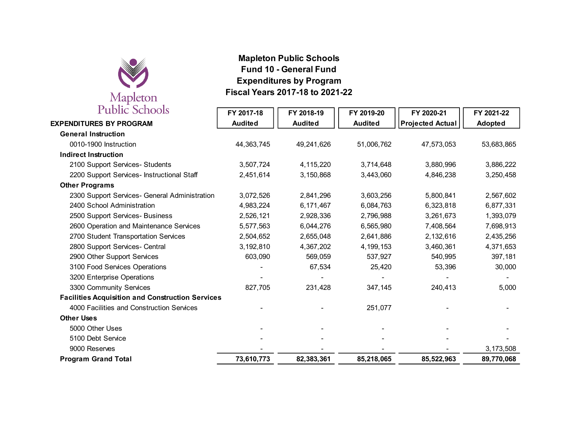

# **Mapleton Public Schools Fund 10 - General Fund Expenditures by ProgramFiscal Years 2017-18 to 2021-22**

| <b>Public Schools</b>                                   | FY 2017-18     | FY 2018-19     | FY 2019-20     | FY 2020-21              | FY 2021-22     |
|---------------------------------------------------------|----------------|----------------|----------------|-------------------------|----------------|
| <b>EXPENDITURES BY PROGRAM</b>                          | <b>Audited</b> | <b>Audited</b> | <b>Audited</b> | <b>Projected Actual</b> | <b>Adopted</b> |
| <b>General Instruction</b>                              |                |                |                |                         |                |
| 0010-1900 Instruction                                   | 44,363,745     | 49,241,626     | 51,006,762     | 47,573,053              | 53,683,865     |
| <b>Indirect Instruction</b>                             |                |                |                |                         |                |
| 2100 Support Services- Students                         | 3,507,724      | 4,115,220      | 3,714,648      | 3,880,996               | 3,886,222      |
| 2200 Support Services- Instructional Staff              | 2,451,614      | 3,150,868      | 3,443,060      | 4,846,238               | 3,250,458      |
| <b>Other Programs</b>                                   |                |                |                |                         |                |
| 2300 Support Services- General Administration           | 3,072,526      | 2,841,296      | 3,603,256      | 5,800,841               | 2,567,602      |
| 2400 School Administration                              | 4,983,224      | 6,171,467      | 6,084,763      | 6,323,818               | 6,877,331      |
| 2500 Support Services- Business                         | 2,526,121      | 2,928,336      | 2,796,988      | 3,261,673               | 1,393,079      |
| 2600 Operation and Maintenance Services                 | 5,577,563      | 6,044,276      | 6,565,980      | 7,408,564               | 7,698,913      |
| 2700 Student Transportation Services                    | 2,504,652      | 2,655,048      | 2,641,886      | 2,132,616               | 2,435,256      |
| 2800 Support Services- Central                          | 3,192,810      | 4,367,202      | 4,199,153      | 3,460,361               | 4,371,653      |
| 2900 Other Support Services                             | 603,090        | 569,059        | 537,927        | 540,995                 | 397,181        |
| 3100 Food Services Operations                           |                | 67,534         | 25,420         | 53,396                  | 30,000         |
| 3200 Enterprise Operations                              |                |                |                |                         |                |
| 3300 Community Services                                 | 827,705        | 231,428        | 347,145        | 240,413                 | 5,000          |
| <b>Facilities Acquisition and Construction Services</b> |                |                |                |                         |                |
| 4000 Facilities and Construction Services               |                |                | 251,077        |                         |                |
| <b>Other Uses</b>                                       |                |                |                |                         |                |
| 5000 Other Uses                                         |                |                |                |                         |                |
| 5100 Debt Service                                       |                |                |                |                         |                |
| 9000 Reserves                                           |                |                |                |                         | 3,173,508      |
| <b>Program Grand Total</b>                              | 73,610,773     | 82,383,361     | 85,218,065     | 85,522,963              | 89,770,068     |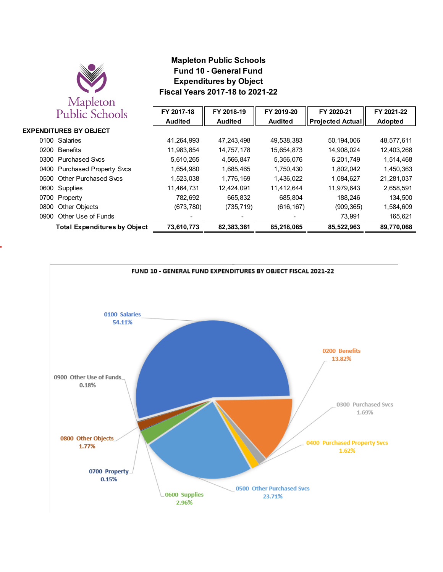

#### **Mapleton Public Schools Fund 10 - General Fund Expenditures by Object Fiscal Years 2017-18 to 2021-22**

|      | Public Schools                      | FY 2017-18<br><b>Audited</b> | FY 2018-19<br><b>Audited</b> | FY 2019-20<br><b>Audited</b> | FY 2020-21<br><b>Projected Actual</b> | FY 2021-22<br><b>Adopted</b> |
|------|-------------------------------------|------------------------------|------------------------------|------------------------------|---------------------------------------|------------------------------|
|      | <b>EXPENDITURES BY OBJECT</b>       |                              |                              |                              |                                       |                              |
|      | 0100 Salaries                       | 41,264,993                   | 47,243,498                   | 49,538,383                   | 50,194,006                            | 48,577,611                   |
| 0200 | <b>Benefits</b>                     | 11,983,854                   | 14,757,178                   | 15,654,873                   | 14,908,024                            | 12,403,268                   |
| 0300 | <b>Purchased Svcs</b>               | 5.610.265                    | 4,566,847                    | 5,356,076                    | 6,201,749                             | 1,514,468                    |
| 0400 | <b>Purchased Property Svcs</b>      | 1.654.980                    | 1.685.465                    | 1.750.430                    | 1.802.042                             | 1,450,363                    |
| 0500 | <b>Other Purchased Svcs</b>         | 1,523,038                    | 1,776,169                    | 1,436,022                    | 1,084,627                             | 21,281,037                   |
|      | 0600 Supplies                       | 11,464,731                   | 12,424,091                   | 11.412.644                   | 11,979,643                            | 2,658,591                    |
| 0700 | Property                            | 782.692                      | 665.832                      | 685.804                      | 188.246                               | 134,500                      |
| 0800 | <b>Other Objects</b>                | (673, 780)                   | (735, 719)                   | (616, 167)                   | (909, 365)                            | 1,584,609                    |
| 0900 | Other Use of Funds                  |                              |                              |                              | 73,991                                | 165,621                      |
|      | <b>Total Expenditures by Object</b> | 73,610,773                   | 82,383,361                   | 85,218,065                   | 85,522,963                            | 89,770,068                   |

FUND 10 - GENERAL FUND EXPENDITURES BY OBJECT FISCAL 2021-22

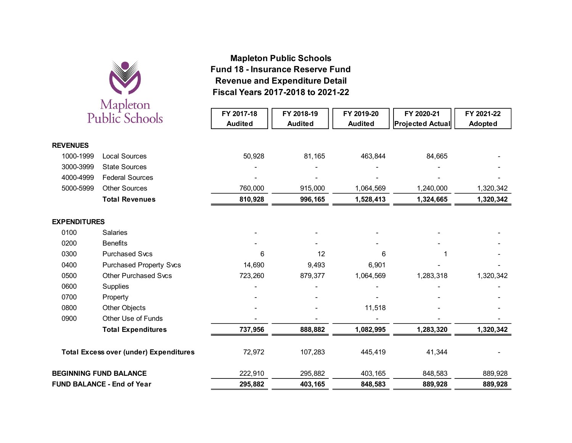

# **Fiscal Years 2017-2018 to 2021-22 Revenue and Expenditure Detail Fund 18 - Insurance Reserve FundMapleton Public Schools**

|                     | Triapiccon<br><b>Public Schools</b>           | FY 2017-18<br><b>Audited</b> | FY 2018-19<br><b>Audited</b> | FY 2019-20<br><b>Audited</b> | FY 2020-21<br><b>Projected Actual</b> | FY 2021-22<br>Adopted |
|---------------------|-----------------------------------------------|------------------------------|------------------------------|------------------------------|---------------------------------------|-----------------------|
| <b>REVENUES</b>     |                                               |                              |                              |                              |                                       |                       |
| 1000-1999           | <b>Local Sources</b>                          | 50,928                       | 81,165                       | 463,844                      | 84,665                                |                       |
| 3000-3999           | <b>State Sources</b>                          |                              |                              |                              |                                       |                       |
| 4000-4999           | <b>Federal Sources</b>                        |                              |                              |                              |                                       |                       |
| 5000-5999           | <b>Other Sources</b>                          | 760,000                      | 915,000                      | 1,064,569                    | 1,240,000                             | 1,320,342             |
|                     | <b>Total Revenues</b>                         | 810,928                      | 996,165                      | 1,528,413                    | 1,324,665                             | 1,320,342             |
| <b>EXPENDITURES</b> |                                               |                              |                              |                              |                                       |                       |
| 0100                | Salaries                                      |                              |                              |                              |                                       |                       |
| 0200                | <b>Benefits</b>                               |                              |                              |                              |                                       |                       |
| 0300                | <b>Purchased Svcs</b>                         | 6                            | 12                           | 6                            |                                       |                       |
| 0400                | <b>Purchased Property Svcs</b>                | 14,690                       | 9,493                        | 6,901                        |                                       |                       |
| 0500                | <b>Other Purchased Svcs</b>                   | 723,260                      | 879,377                      | 1,064,569                    | 1,283,318                             | 1,320,342             |
| 0600                | Supplies                                      |                              |                              |                              |                                       |                       |
| 0700                | Property                                      |                              |                              |                              |                                       |                       |
| 0800                | Other Objects                                 |                              |                              | 11,518                       |                                       |                       |
| 0900                | Other Use of Funds                            |                              |                              |                              |                                       |                       |
|                     | <b>Total Expenditures</b>                     | 737,956                      | 888,882                      | 1,082,995                    | 1,283,320                             | 1,320,342             |
|                     | <b>Total Excess over (under) Expenditures</b> | 72,972                       | 107,283                      | 445,419                      | 41,344                                |                       |
|                     | <b>BEGINNING FUND BALANCE</b>                 | 222,910                      | 295,882                      | 403,165                      | 848,583                               | 889,928               |
|                     | <b>FUND BALANCE - End of Year</b>             | 295,882                      | 403,165                      | 848,583                      | 889,928                               | 889,928               |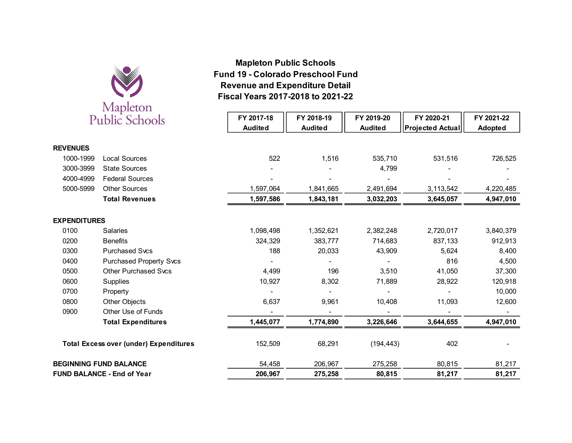

# **Fiscal Years 2017-2018 to 2021-22 Revenue and Expenditure Detail Fund 19 - Colorado Preschool FundMapleton Public Schools**

|                     | Public Schools                                | FY 2017-18     | FY 2018-19     | FY 2019-20     | FY 2020-21              | FY 2021-22 |
|---------------------|-----------------------------------------------|----------------|----------------|----------------|-------------------------|------------|
|                     |                                               | <b>Audited</b> | <b>Audited</b> | <b>Audited</b> | <b>Projected Actual</b> | Adopted    |
|                     |                                               |                |                |                |                         |            |
| <b>REVENUES</b>     |                                               |                |                |                |                         |            |
| 1000-1999           | <b>Local Sources</b>                          | 522            | 1,516          | 535,710        | 531,516                 | 726,525    |
| 3000-3999           | <b>State Sources</b>                          |                |                | 4,799          |                         |            |
| 4000-4999           | <b>Federal Sources</b>                        |                |                |                |                         |            |
| 5000-5999           | <b>Other Sources</b>                          | 1,597,064      | 1,841,665      | 2,491,694      | 3,113,542               | 4,220,485  |
|                     | <b>Total Revenues</b>                         | 1,597,586      | 1,843,181      | 3,032,203      | 3,645,057               | 4,947,010  |
|                     |                                               |                |                |                |                         |            |
| <b>EXPENDITURES</b> |                                               |                |                |                |                         |            |
| 0100                | Salaries                                      | 1,098,498      | 1,352,621      | 2,382,248      | 2,720,017               | 3,840,379  |
| 0200                | <b>Benefits</b>                               | 324,329        | 383,777        | 714,683        | 837,133                 | 912,913    |
| 0300                | <b>Purchased Svcs</b>                         | 188            | 20,033         | 43,909         | 5,624                   | 8,400      |
| 0400                | <b>Purchased Property Svcs</b>                |                |                |                | 816                     | 4,500      |
| 0500                | <b>Other Purchased Svcs</b>                   | 4,499          | 196            | 3,510          | 41,050                  | 37,300     |
| 0600                | Supplies                                      | 10,927         | 8,302          | 71,889         | 28,922                  | 120,918    |
| 0700                | Property                                      |                |                |                |                         | 10,000     |
| 0800                | Other Objects                                 | 6,637          | 9,961          | 10,408         | 11,093                  | 12,600     |
| 0900                | Other Use of Funds                            |                |                |                |                         |            |
|                     | <b>Total Expenditures</b>                     | 1,445,077      | 1,774,890      | 3,226,646      | 3,644,655               | 4,947,010  |
|                     | <b>Total Excess over (under) Expenditures</b> | 152,509        | 68,291         | (194, 443)     | 402                     |            |
|                     | <b>BEGINNING FUND BALANCE</b>                 | 54,458         | 206,967        | 275,258        | 80,815                  | 81,217     |
|                     | <b>FUND BALANCE - End of Year</b>             | 206,967        | 275,258        | 80,815         | 81,217                  | 81,217     |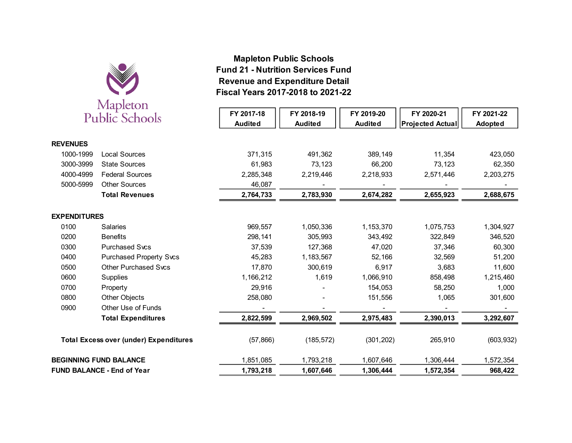

# **Fiscal Years 2017-2018 to 2021-22 Revenue and Expenditure Detail Fund 21 - Nutrition Services FundMapleton Public Schools**

|                     | Triapiccon                                    |                |                |                |                         |            |
|---------------------|-----------------------------------------------|----------------|----------------|----------------|-------------------------|------------|
|                     | <b>Public Schools</b>                         | FY 2017-18     | FY 2018-19     | FY 2019-20     | FY 2020-21              | FY 2021-22 |
|                     |                                               | <b>Audited</b> | <b>Audited</b> | <b>Audited</b> | <b>Projected Actual</b> | Adopted    |
|                     |                                               |                |                |                |                         |            |
| <b>REVENUES</b>     |                                               |                |                |                |                         |            |
| 1000-1999           | <b>Local Sources</b>                          | 371,315        | 491,362        | 389,149        | 11,354                  | 423,050    |
| 3000-3999           | <b>State Sources</b>                          | 61,983         | 73,123         | 66,200         | 73,123                  | 62,350     |
| 4000-4999           | <b>Federal Sources</b>                        | 2,285,348      | 2,219,446      | 2,218,933      | 2,571,446               | 2,203,275  |
| 5000-5999           | <b>Other Sources</b>                          | 46,087         |                |                |                         |            |
|                     | <b>Total Revenues</b>                         | 2,764,733      | 2,783,930      | 2,674,282      | 2,655,923               | 2,688,675  |
| <b>EXPENDITURES</b> |                                               |                |                |                |                         |            |
| 0100                | <b>Salaries</b>                               | 969,557        | 1,050,336      | 1,153,370      | 1,075,753               | 1,304,927  |
| 0200                | <b>Benefits</b>                               | 298,141        | 305,993        | 343,492        | 322,849                 | 346,520    |
| 0300                | <b>Purchased Svcs</b>                         | 37,539         | 127,368        | 47,020         | 37,346                  | 60,300     |
| 0400                | <b>Purchased Property Svcs</b>                | 45,283         | 1,183,567      | 52,166         | 32,569                  | 51,200     |
| 0500                | <b>Other Purchased Svcs</b>                   | 17,870         | 300,619        | 6,917          | 3,683                   | 11,600     |
| 0600                | Supplies                                      | 1,166,212      | 1,619          | 1,066,910      | 858,498                 | 1,215,460  |
| 0700                | Property                                      | 29,916         |                | 154,053        | 58,250                  | 1,000      |
| 0800                | Other Objects                                 | 258,080        |                | 151,556        | 1,065                   | 301,600    |
| 0900                | Other Use of Funds                            |                |                |                |                         |            |
|                     | <b>Total Expenditures</b>                     | 2,822,599      | 2,969,502      | 2,975,483      | 2,390,013               | 3,292,607  |
|                     | <b>Total Excess over (under) Expenditures</b> | (57, 866)      | (185, 572)     | (301, 202)     | 265,910                 | (603, 932) |
|                     | <b>BEGINNING FUND BALANCE</b>                 | 1,851,085      | 1,793,218      | 1,607,646      | 1,306,444               | 1,572,354  |
|                     | <b>FUND BALANCE - End of Year</b>             | 1,793,218      | 1,607,646      | 1,306,444      | 1,572,354               | 968,422    |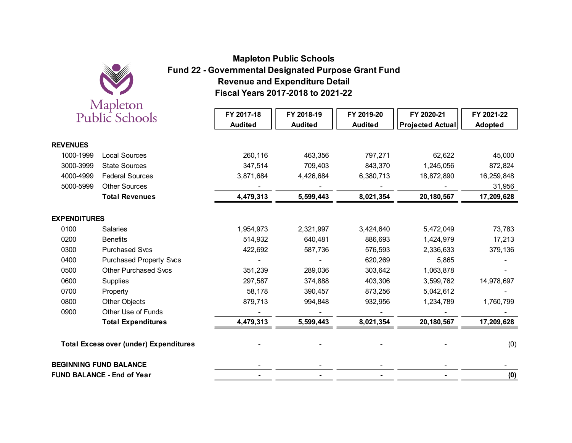

# **Fiscal Years 2017-2018 to 2021-22 Revenue and Expenditure DetailFund 22 - Governmental Designated Purpose Grant FundMapleton Public Schools**

|                     | <i>irespectively</i><br>Public Schools        | FY 2017-18<br><b>Audited</b> | FY 2018-19<br><b>Audited</b> | FY 2019-20<br><b>Audited</b> | FY 2020-21<br><b>Projected Actual</b> | FY 2021-22<br>Adopted |
|---------------------|-----------------------------------------------|------------------------------|------------------------------|------------------------------|---------------------------------------|-----------------------|
| <b>REVENUES</b>     |                                               |                              |                              |                              |                                       |                       |
| 1000-1999           | <b>Local Sources</b>                          | 260,116                      | 463,356                      | 797,271                      | 62,622                                | 45,000                |
| 3000-3999           | <b>State Sources</b>                          | 347,514                      | 709,403                      | 843,370                      | 1,245,056                             | 872,824               |
| 4000-4999           | <b>Federal Sources</b>                        | 3,871,684                    | 4,426,684                    | 6,380,713                    | 18,872,890                            | 16,259,848            |
| 5000-5999           | <b>Other Sources</b>                          |                              |                              |                              |                                       | 31,956                |
|                     | <b>Total Revenues</b>                         | 4,479,313                    | 5,599,443                    | 8,021,354                    | 20,180,567                            | 17,209,628            |
| <b>EXPENDITURES</b> |                                               |                              |                              |                              |                                       |                       |
| 0100                | Salaries                                      | 1,954,973                    | 2,321,997                    | 3,424,640                    | 5,472,049                             | 73,783                |
| 0200                | <b>Benefits</b>                               | 514,932                      | 640,481                      | 886,693                      | 1,424,979                             | 17,213                |
| 0300                | <b>Purchased Svcs</b>                         | 422,692                      | 587,736                      | 576,593                      | 2,336,633                             | 379,136               |
| 0400                | <b>Purchased Property Svcs</b>                |                              |                              | 620,269                      | 5,865                                 |                       |
| 0500                | <b>Other Purchased Svcs</b>                   | 351,239                      | 289,036                      | 303,642                      | 1,063,878                             |                       |
| 0600                | Supplies                                      | 297,587                      | 374,888                      | 403,306                      | 3,599,762                             | 14,978,697            |
| 0700                | Property                                      | 58,178                       | 390,457                      | 873,256                      | 5,042,612                             |                       |
| 0800                | Other Objects                                 | 879,713                      | 994,848                      | 932,956                      | 1,234,789                             | 1,760,799             |
| 0900                | Other Use of Funds                            |                              |                              |                              |                                       |                       |
|                     | <b>Total Expenditures</b>                     | 4,479,313                    | 5,599,443                    | 8,021,354                    | 20,180,567                            | 17,209,628            |
|                     | <b>Total Excess over (under) Expenditures</b> |                              |                              |                              |                                       | (0)                   |
|                     | <b>BEGINNING FUND BALANCE</b>                 |                              |                              |                              |                                       |                       |
|                     | <b>FUND BALANCE - End of Year</b>             |                              |                              |                              |                                       | (0)                   |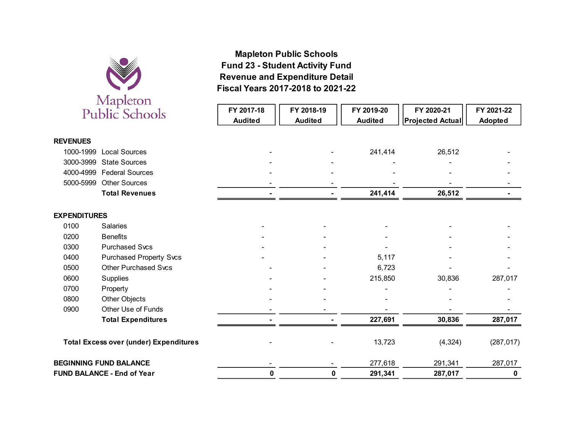

# **Fiscal Years 2017-2018 to 2021-22 Revenue and Expenditure Detail Fund 23 - Student Activity FundMapleton Public Schools**

|                     | Trapiccon<br>Public Schools                   | FY 2017-18<br><b>Audited</b> | FY 2018-19<br><b>Audited</b> | FY 2019-20<br><b>Audited</b> | FY 2020-21<br><b>Projected Actual</b> | FY 2021-22<br>Adopted |
|---------------------|-----------------------------------------------|------------------------------|------------------------------|------------------------------|---------------------------------------|-----------------------|
| <b>REVENUES</b>     |                                               |                              |                              |                              |                                       |                       |
| 1000-1999           | <b>Local Sources</b>                          |                              |                              | 241,414                      | 26,512                                |                       |
| 3000-3999           | <b>State Sources</b>                          |                              |                              |                              |                                       |                       |
|                     | 4000-4999 Federal Sources                     |                              |                              |                              |                                       |                       |
| 5000-5999           | <b>Other Sources</b>                          |                              |                              |                              |                                       |                       |
|                     | <b>Total Revenues</b>                         |                              |                              | 241,414                      | 26,512                                |                       |
| <b>EXPENDITURES</b> |                                               |                              |                              |                              |                                       |                       |
| 0100                | <b>Salaries</b>                               |                              |                              |                              |                                       |                       |
| 0200                | <b>Benefits</b>                               |                              |                              |                              |                                       |                       |
| 0300                | <b>Purchased Svcs</b>                         |                              |                              |                              |                                       |                       |
| 0400                | <b>Purchased Property Svcs</b>                |                              |                              | 5,117                        |                                       |                       |
| 0500                | <b>Other Purchased Svcs</b>                   |                              |                              | 6,723                        |                                       |                       |
| 0600                | Supplies                                      |                              |                              | 215,850                      | 30,836                                | 287,017               |
| 0700                | Property                                      |                              |                              |                              |                                       |                       |
| 0800                | Other Objects                                 |                              |                              |                              |                                       |                       |
| 0900                | Other Use of Funds                            |                              |                              |                              |                                       |                       |
|                     | <b>Total Expenditures</b>                     |                              |                              | 227,691                      | 30,836                                | 287,017               |
|                     | <b>Total Excess over (under) Expenditures</b> |                              |                              | 13,723                       | (4,324)                               | (287, 017)            |
|                     | <b>BEGINNING FUND BALANCE</b>                 |                              |                              | 277,618                      | 291,341                               | 287,017               |
|                     | <b>FUND BALANCE - End of Year</b>             | 0                            | 0                            | 291,341                      | 287,017                               | 0                     |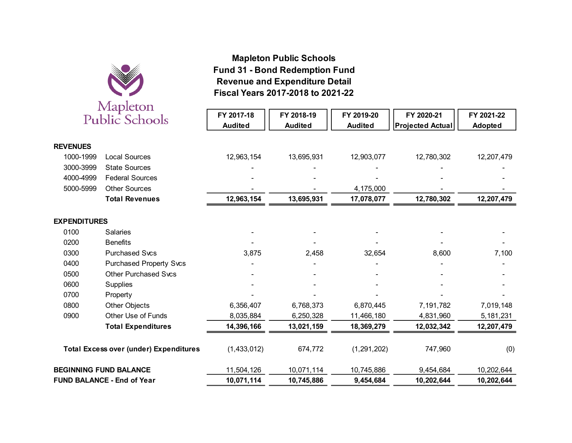

# **Fiscal Years 2017-2018 to 2021-22 Revenue and Expenditure Detail Fund 31 - Bond Redemption FundMapleton Public Schools**

|                     | iviapicton<br><b>Public Schools</b>           | FY 2017-18<br><b>Audited</b> | FY 2018-19<br><b>Audited</b> | FY 2019-20<br><b>Audited</b> | FY 2020-21<br><b>Projected Actual</b> | FY 2021-22<br>Adopted |
|---------------------|-----------------------------------------------|------------------------------|------------------------------|------------------------------|---------------------------------------|-----------------------|
| <b>REVENUES</b>     |                                               |                              |                              |                              |                                       |                       |
| 1000-1999           | <b>Local Sources</b>                          | 12,963,154                   | 13,695,931                   | 12,903,077                   | 12,780,302                            | 12,207,479            |
| 3000-3999           | <b>State Sources</b>                          |                              |                              |                              |                                       |                       |
| 4000-4999           | <b>Federal Sources</b>                        |                              |                              |                              |                                       |                       |
| 5000-5999           | <b>Other Sources</b>                          |                              |                              | 4,175,000                    |                                       |                       |
|                     | <b>Total Revenues</b>                         | 12,963,154                   | 13,695,931                   | 17,078,077                   | 12,780,302                            | 12,207,479            |
| <b>EXPENDITURES</b> |                                               |                              |                              |                              |                                       |                       |
| 0100                | Salaries                                      |                              |                              |                              |                                       |                       |
| 0200                | <b>Benefits</b>                               |                              |                              |                              |                                       |                       |
| 0300                | <b>Purchased Svcs</b>                         | 3,875                        | 2,458                        | 32,654                       | 8,600                                 | 7,100                 |
| 0400                | <b>Purchased Property Svcs</b>                |                              |                              |                              |                                       |                       |
| 0500                | <b>Other Purchased Svcs</b>                   |                              |                              |                              |                                       |                       |
| 0600                | Supplies                                      |                              |                              |                              |                                       |                       |
| 0700                | Property                                      |                              |                              |                              |                                       |                       |
| 0800                | Other Objects                                 | 6,356,407                    | 6,768,373                    | 6,870,445                    | 7,191,782                             | 7,019,148             |
| 0900                | Other Use of Funds                            | 8,035,884                    | 6,250,328                    | 11,466,180                   | 4,831,960                             | 5,181,231             |
|                     | <b>Total Expenditures</b>                     | 14,396,166                   | 13,021,159                   | 18,369,279                   | 12,032,342                            | 12,207,479            |
|                     | <b>Total Excess over (under) Expenditures</b> | (1,433,012)                  | 674,772                      | (1, 291, 202)                | 747,960                               | (0)                   |
|                     | <b>BEGINNING FUND BALANCE</b>                 | 11,504,126                   | 10,071,114                   | 10,745,886                   | 9,454,684                             | 10,202,644            |
|                     | <b>FUND BALANCE - End of Year</b>             | 10,071,114                   | 10,745,886                   | 9,454,684                    | 10,202,644                            | 10,202,644            |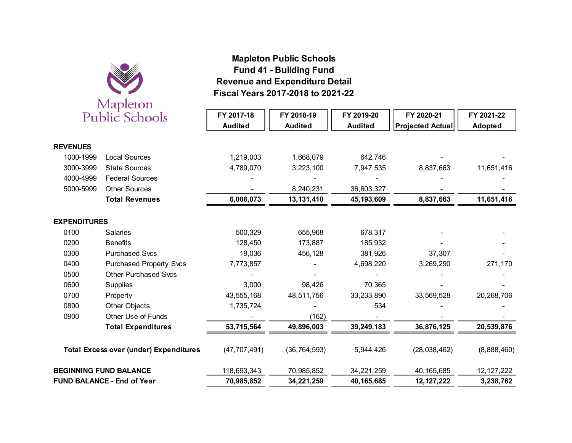

# **Fiscal Years 2017-2018 to 2021-22Revenue and Expenditure Detail Fund 41 - Building FundMapleton Public Schools**

| $\cdots$<br><b>Public Schools</b>             |                                | FY 2017-18<br><b>Audited</b> | FY 2018-19<br><b>Audited</b> | FY 2019-20<br><b>Audited</b> | FY 2020-21<br><b>Projected Actual</b> | FY 2021-22<br>Adopted |
|-----------------------------------------------|--------------------------------|------------------------------|------------------------------|------------------------------|---------------------------------------|-----------------------|
| <b>REVENUES</b>                               |                                |                              |                              |                              |                                       |                       |
| 1000-1999                                     | <b>Local Sources</b>           | 1,219,003                    | 1,668,079                    | 642,746                      |                                       |                       |
| 3000-3999                                     | <b>State Sources</b>           | 4,789,070                    | 3,223,100                    | 7,947,535                    | 8,837,663                             | 11,651,416            |
| 4000-4999                                     | <b>Federal Sources</b>         |                              |                              |                              |                                       |                       |
| 5000-5999                                     | <b>Other Sources</b>           |                              | 8,240,231                    | 36,603,327                   |                                       |                       |
|                                               | <b>Total Revenues</b>          | 6,008,073                    | 13, 131, 410                 | 45, 193, 609                 | 8,837,663                             | 11,651,416            |
| <b>EXPENDITURES</b>                           |                                |                              |                              |                              |                                       |                       |
| 0100                                          | <b>Salaries</b>                | 500,329                      | 655,968                      | 678,317                      |                                       |                       |
| 0200                                          | <b>Benefits</b>                | 128,450                      | 173,887                      | 185,932                      |                                       |                       |
| 0300                                          | <b>Purchased Svcs</b>          | 19,036                       | 456,128                      | 381,926                      | 37,307                                |                       |
| 0400                                          | <b>Purchased Property Svcs</b> | 7,773,857                    |                              | 4,698,220                    | 3,269,290                             | 271,170               |
| 0500                                          | <b>Other Purchased Svcs</b>    |                              |                              |                              |                                       |                       |
| 0600                                          | <b>Supplies</b>                | 3,000                        | 98,426                       | 70,365                       |                                       |                       |
| 0700                                          | Property                       | 43,555,168                   | 48,511,756                   | 33,233,890                   | 33,569,528                            | 20,268,706            |
| 0800                                          | Other Objects                  | 1,735,724                    |                              | 534                          |                                       |                       |
| 0900                                          | Other Use of Funds             |                              | (162)                        |                              |                                       |                       |
|                                               | <b>Total Expenditures</b>      | 53,715,564                   | 49,896,003                   | 39,249,183                   | 36,876,125                            | 20,539,876            |
| <b>Total Excess over (under) Expenditures</b> |                                | (47, 707, 491)               | (36, 764, 593)               | 5,944,426                    | (28,038,462)                          | (8,888,460)           |
| <b>BEGINNING FUND BALANCE</b>                 |                                | 118,693,343                  | 70,985,852                   | 34,221,259                   | 40, 165, 685                          | 12, 127, 222          |
| <b>FUND BALANCE - End of Year</b>             |                                | 70,985,852                   | 34,221,259                   | 40,165,685                   | 12, 127, 222                          | 3,238,762             |